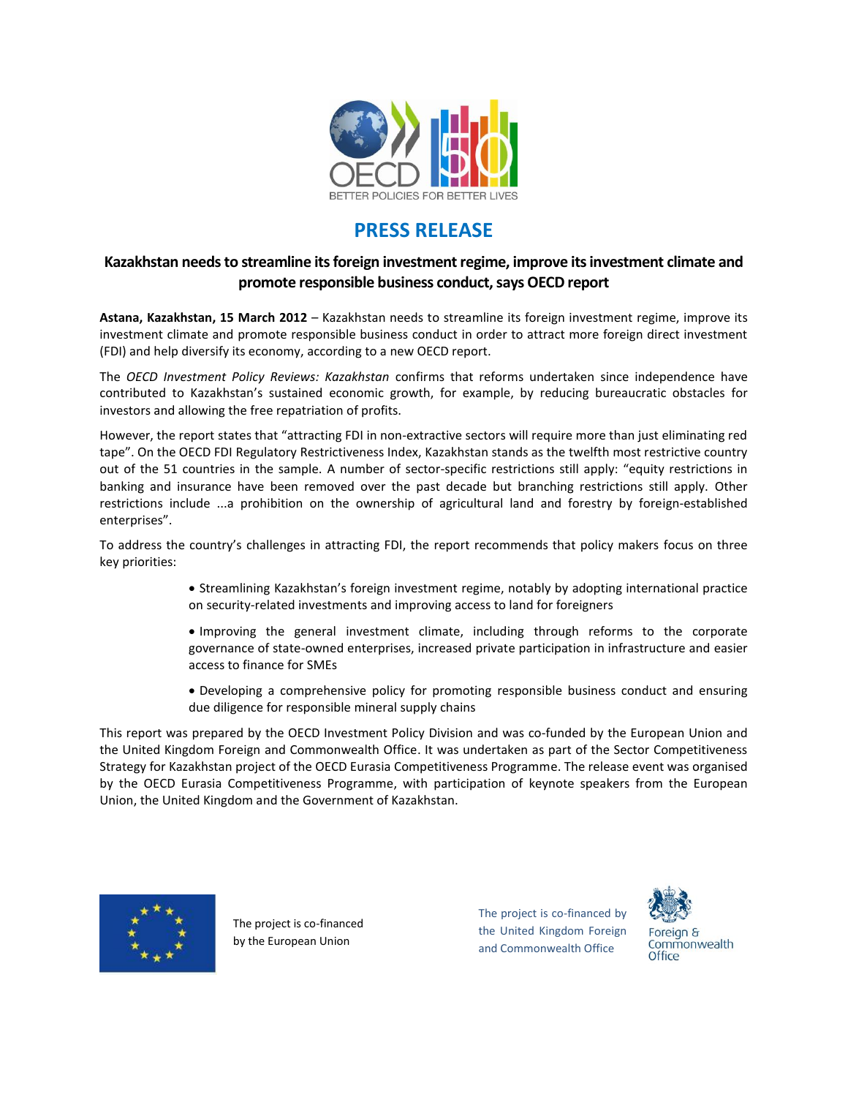

## **PRESS RELEASE**

## **Kazakhstan needs to streamline its foreign investment regime, improve itsinvestment climate and promote responsible business conduct, says OECD report**

**Astana, Kazakhstan, 15 March 2012** – Kazakhstan needs to streamline its foreign investment regime, improve its investment climate and promote responsible business conduct in order to attract more foreign direct investment (FDI) and help diversify its economy, according to a new OECD report.

The *OECD Investment Policy Reviews: Kazakhstan* confirms that reforms undertaken since independence have contributed to Kazakhstan's sustained economic growth, for example, by reducing bureaucratic obstacles for investors and allowing the free repatriation of profits.

However, the report states that "attracting FDI in non-extractive sectors will require more than just eliminating red tape". On the OECD FDI Regulatory Restrictiveness Index, Kazakhstan stands as the twelfth most restrictive country out of the 51 countries in the sample. A number of sector-specific restrictions still apply: "equity restrictions in banking and insurance have been removed over the past decade but branching restrictions still apply. Other restrictions include ...a prohibition on the ownership of agricultural land and forestry by foreign-established enterprises".

To address the country's challenges in attracting FDI, the report recommends that policy makers focus on three key priorities:

> Streamlining Kazakhstan's foreign investment regime, notably by adopting international practice on security-related investments and improving access to land for foreigners

> Improving the general investment climate, including through reforms to the corporate governance of state-owned enterprises, increased private participation in infrastructure and easier access to finance for SMEs

> Developing a comprehensive policy for promoting responsible business conduct and ensuring due diligence for responsible mineral supply chains

This report was prepared by the OECD Investment Policy Division and was co-funded by the European Union and the United Kingdom Foreign and Commonwealth Office. It was undertaken as part of the Sector Competitiveness Strategy for Kazakhstan project of the OECD Eurasia Competitiveness Programme. The release event was organised by the OECD Eurasia Competitiveness Programme, with participation of keynote speakers from the European Union, the United Kingdom and the Government of Kazakhstan.



The project is co-financed by the European Union

The project is co-financed by the United Kingdom Foreign and Commonwealth Office